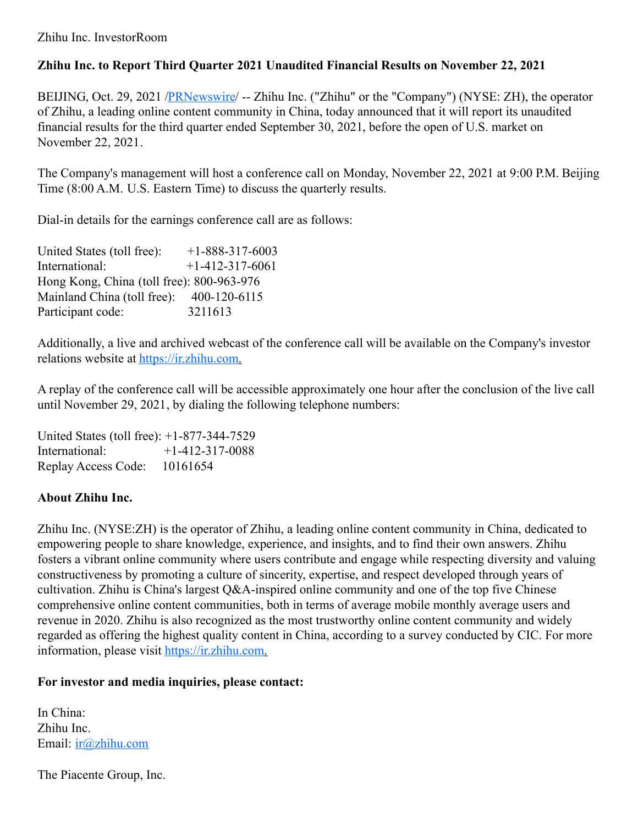## Zhihu Inc. InvestorRoom

## **Zhihu Inc. to Report Third Quarter 2021 Unaudited Financial Results on November 22, 2021**

BEIJING, Oct. 29, 2021 /**PRNewswire/** -- Zhihu Inc. ("Zhihu" or the "Company") (NYSE: ZH), the operator of Zhihu, a leading online content community in China, today announced that it will report its unaudited financial results for the third quarter ended September 30, 2021, before the open of U.S. market on November 22, 2021.

The Company's management will host a conference call on Monday, November 22, 2021 at 9:00 P.M. Beijing Time (8:00 A.M. U.S. Eastern Time) to discuss the quarterly results.

Dial-in details for the earnings conference call are as follows:

| United States (toll free):                | $+1 - 888 - 317 - 6003$ |
|-------------------------------------------|-------------------------|
| International:                            | $+1-412-317-6061$       |
| Hong Kong, China (toll free): 800-963-976 |                         |
| Mainland China (toll free):               | 400-120-6115            |
| Participant code:                         | 3211613                 |

Additionally, a live and archived webcast of the conference call will be available on the Company's investor relations website at [https://ir.zhihu.com](https://ir.zhihu.com/).

A replay of the conference call will be accessible approximately one hour after the conclusion of the live call until November 29, 2021, by dialing the following telephone numbers:

United States (toll free): +1-877-344-7529 International: +1-412-317-0088 Replay Access Code: 10161654

## **About Zhihu Inc.**

Zhihu Inc. (NYSE:ZH) is the operator of Zhihu, a leading online content community in China, dedicated to empowering people to share knowledge, experience, and insights, and to find their own answers. Zhihu fosters a vibrant online community where users contribute and engage while respecting diversity and valuing constructiveness by promoting a culture of sincerity, expertise, and respect developed through years of cultivation. Zhihu is China's largest Q&A-inspired online community and one of the top five Chinese comprehensive online content communities, both in terms of average mobile monthly average users and revenue in 2020. Zhihu is also recognized as the most trustworthy online content community and widely regarded as offering the highest quality content in China, according to a survey conducted by CIC. For more information, please visit [https://ir.zhihu.com](https://ir.zhihu.com/).

## **For investor and media inquiries, please contact:**

In China: Zhihu Inc. Email: [ir@zhihu.com](mailto:ir@zhihu.com)

The Piacente Group, Inc.